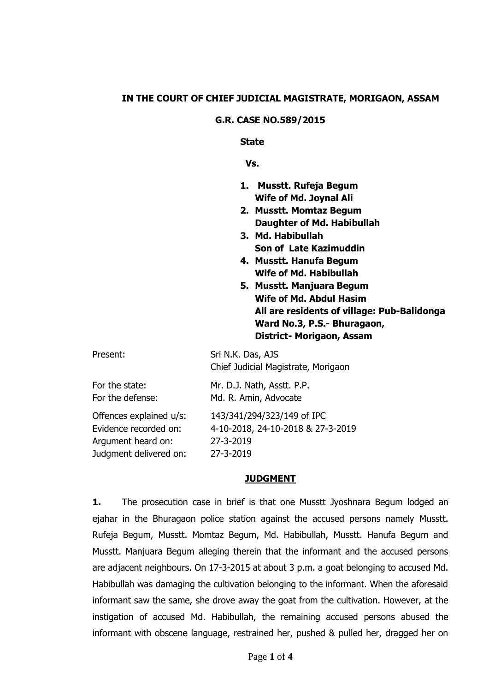### **IN THE COURT OF CHIEF JUDICIAL MAGISTRATE, MORIGAON, ASSAM**

#### **G.R. CASE NO.589/2015**

**State**

 **Vs.**

- **1. Musstt. Rufeja Begum Wife of Md. Joynal Ali**
- **2. Musstt. Momtaz Begum Daughter of Md. Habibullah**
- **3. Md. Habibullah Son of Late Kazimuddin**
- **4. Musstt. Hanufa Begum Wife of Md. Habibullah**
- **5. Musstt. Manjuara Begum Wife of Md. Abdul Hasim All are residents of village: Pub-Balidonga Ward No.3, P.S.- Bhuragaon, District- Morigaon, Assam**

| Present:                | Sri N.K. Das, AJS<br>Chief Judicial Magistrate, Morigaon |
|-------------------------|----------------------------------------------------------|
| For the state:          | Mr. D.J. Nath, Asstt. P.P.                               |
| For the defense:        | Md. R. Amin, Advocate                                    |
| Offences explained u/s: | 143/341/294/323/149 of IPC                               |
| Evidence recorded on:   | 4-10-2018, 24-10-2018 & 27-3-2019                        |
| Argument heard on:      | 27-3-2019                                                |
| Judgment delivered on:  | 27-3-2019                                                |

### **JUDGMENT**

**1.** The prosecution case in brief is that one Musstt Jyoshnara Begum lodged an ejahar in the Bhuragaon police station against the accused persons namely Musstt. Rufeja Begum, Musstt. Momtaz Begum, Md. Habibullah, Musstt. Hanufa Begum and Musstt. Manjuara Begum alleging therein that the informant and the accused persons are adjacent neighbours. On 17-3-2015 at about 3 p.m. a goat belonging to accused Md. Habibullah was damaging the cultivation belonging to the informant. When the aforesaid informant saw the same, she drove away the goat from the cultivation. However, at the instigation of accused Md. Habibullah, the remaining accused persons abused the informant with obscene language, restrained her, pushed & pulled her, dragged her on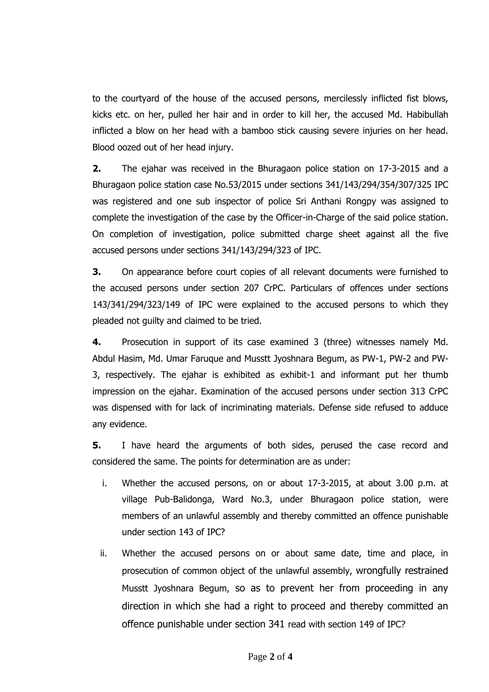to the courtyard of the house of the accused persons, mercilessly inflicted fist blows, kicks etc. on her, pulled her hair and in order to kill her, the accused Md. Habibullah inflicted a blow on her head with a bamboo stick causing severe injuries on her head. Blood oozed out of her head injury.

**2.** The ejahar was received in the Bhuragaon police station on 17-3-2015 and a Bhuragaon police station case No.53/2015 under sections 341/143/294/354/307/325 IPC was registered and one sub inspector of police Sri Anthani Rongpy was assigned to complete the investigation of the case by the Officer-in-Charge of the said police station. On completion of investigation, police submitted charge sheet against all the five accused persons under sections 341/143/294/323 of IPC.

**3.** On appearance before court copies of all relevant documents were furnished to the accused persons under section 207 CrPC. Particulars of offences under sections 143/341/294/323/149 of IPC were explained to the accused persons to which they pleaded not guilty and claimed to be tried.

**4.** Prosecution in support of its case examined 3 (three) witnesses namely Md. Abdul Hasim, Md. Umar Faruque and Musstt Jyoshnara Begum, as PW-1, PW-2 and PW-3, respectively. The ejahar is exhibited as exhibit-1 and informant put her thumb impression on the ejahar. Examination of the accused persons under section 313 CrPC was dispensed with for lack of incriminating materials. Defense side refused to adduce any evidence.

**5.** I have heard the arguments of both sides, perused the case record and considered the same. The points for determination are as under:

- i. Whether the accused persons, on or about 17-3-2015, at about 3.00 p.m. at village Pub-Balidonga, Ward No.3, under Bhuragaon police station, were members of an unlawful assembly and thereby committed an offence punishable under section 143 of IPC?
- ii. Whether the accused persons on or about same date, time and place, in prosecution of common object of the unlawful assembly, wrongfully restrained Musstt Jyoshnara Begum, so as to prevent her from proceeding in any direction in which she had a right to proceed and thereby committed an offence punishable under section 341 read with section 149 of IPC?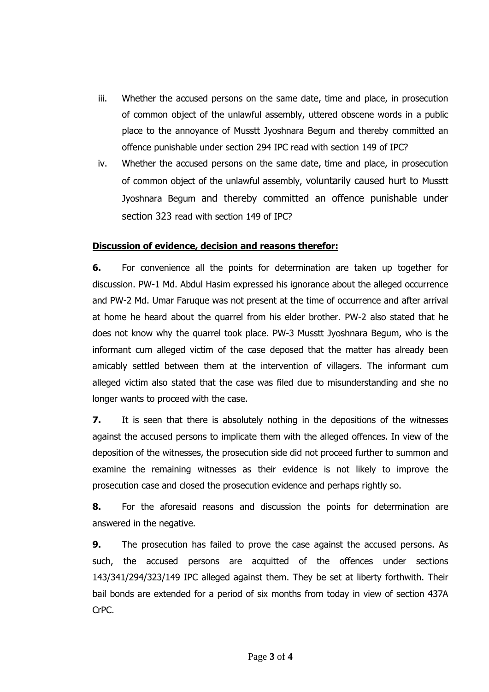- iii. Whether the accused persons on the same date, time and place, in prosecution of common object of the unlawful assembly, uttered obscene words in a public place to the annoyance of Musstt Jyoshnara Begum and thereby committed an offence punishable under section 294 IPC read with section 149 of IPC?
- iv. Whether the accused persons on the same date, time and place, in prosecution of common object of the unlawful assembly, voluntarily caused hurt to Musstt Jyoshnara Begum and thereby committed an offence punishable under section 323 read with section 149 of IPC?

# **Discussion of evidence, decision and reasons therefor:**

**6.** For convenience all the points for determination are taken up together for discussion. PW-1 Md. Abdul Hasim expressed his ignorance about the alleged occurrence and PW-2 Md. Umar Faruque was not present at the time of occurrence and after arrival at home he heard about the quarrel from his elder brother. PW-2 also stated that he does not know why the quarrel took place. PW-3 Musstt Jyoshnara Begum, who is the informant cum alleged victim of the case deposed that the matter has already been amicably settled between them at the intervention of villagers. The informant cum alleged victim also stated that the case was filed due to misunderstanding and she no longer wants to proceed with the case.

**7.** It is seen that there is absolutely nothing in the depositions of the witnesses against the accused persons to implicate them with the alleged offences. In view of the deposition of the witnesses, the prosecution side did not proceed further to summon and examine the remaining witnesses as their evidence is not likely to improve the prosecution case and closed the prosecution evidence and perhaps rightly so.

**8.** For the aforesaid reasons and discussion the points for determination are answered in the negative.

**9.** The prosecution has failed to prove the case against the accused persons. As such, the accused persons are acquitted of the offences under sections 143/341/294/323/149 IPC alleged against them. They be set at liberty forthwith. Their bail bonds are extended for a period of six months from today in view of section 437A CrPC.